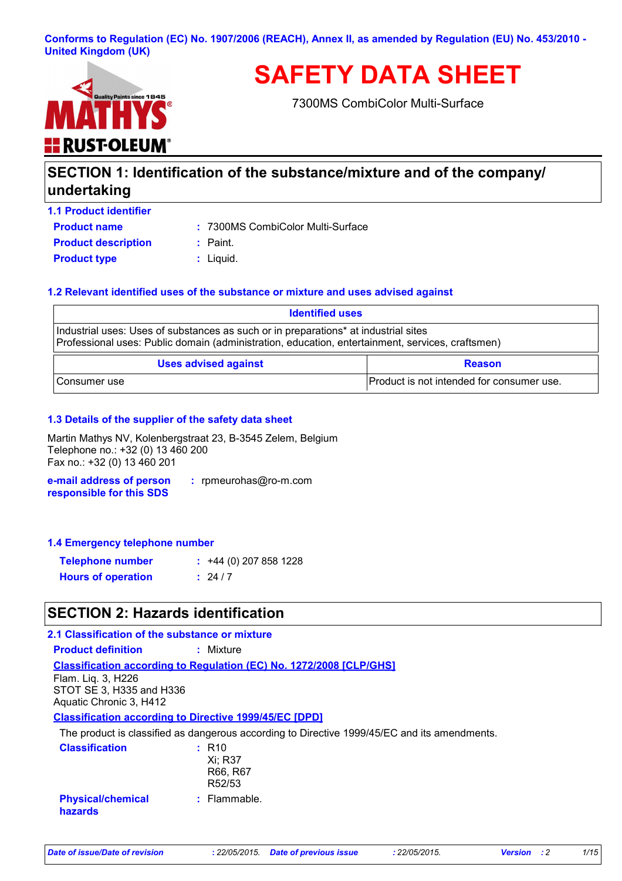### **Conforms to Regulation (EC) No. 1907/2006 (REACH), Annex II, as amended by Regulation (EU) No. 453/2010 - United Kingdom (UK)**



**SAFETY DATA SHEET**

7300MS CombiColor Multi-Surface

# **SECTION 1: Identification of the substance/mixture and of the company/ undertaking**

**Product name 1.1 Product identifier Product description :** Paint.

7300MS CombiColor Multi-Surface **:**

**Product type**  $\qquad$ **:** Liquid.

### **1.2 Relevant identified uses of the substance or mixture and uses advised against**

| <b>Identified uses</b>                                                                                                                                                                  |                                           |  |
|-----------------------------------------------------------------------------------------------------------------------------------------------------------------------------------------|-------------------------------------------|--|
| Industrial uses: Uses of substances as such or in preparations* at industrial sites<br>Professional uses: Public domain (administration, education, entertainment, services, craftsmen) |                                           |  |
| <b>Uses advised against</b><br><b>Reason</b>                                                                                                                                            |                                           |  |
| Consumer use                                                                                                                                                                            | Product is not intended for consumer use. |  |

### **1.3 Details of the supplier of the safety data sheet**

Martin Mathys NV, Kolenbergstraat 23, B-3545 Zelem, Belgium Telephone no.: +32 (0) 13 460 200 Fax no.: +32 (0) 13 460 201

**e-mail address of person responsible for this SDS :** rpmeurohas@ro-m.com

#### **1.4 Emergency telephone number**

| <b>Telephone number</b>   | $\div$ +44 (0) 207 858 1228 |
|---------------------------|-----------------------------|
| <b>Hours of operation</b> | : 24/7                      |

### **SECTION 2: Hazards identification**

#### **Classification** Xi; R37 R66, R67 R52/53 **: Physical/chemical :** Flammable. **Classification according to Regulation (EC) No. 1272/2008 [CLP/GHS] 2.1 Classification of the substance or mixture Product definition :** Mixture **Classification according to Directive 1999/45/EC [DPD]** The product is classified as dangerous according to Directive 1999/45/EC and its amendments. Flam. Liq. 3, H226 STOT SE 3, H335 and H336 Aquatic Chronic 3, H412

**hazards**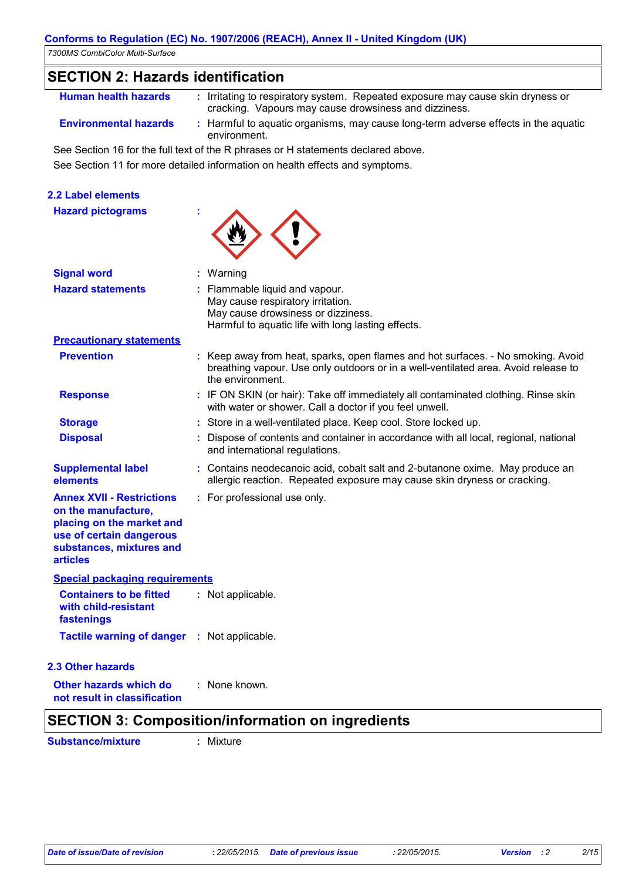| <i>ISUUMS COMMUCUM MUIL-SUNACE</i>                                                                                                                              |                                                                                                                                                                                            |
|-----------------------------------------------------------------------------------------------------------------------------------------------------------------|--------------------------------------------------------------------------------------------------------------------------------------------------------------------------------------------|
| <b>SECTION 2: Hazards identification</b>                                                                                                                        |                                                                                                                                                                                            |
| <b>Human health hazards</b>                                                                                                                                     | : Irritating to respiratory system. Repeated exposure may cause skin dryness or<br>cracking. Vapours may cause drowsiness and dizziness.                                                   |
| <b>Environmental hazards</b>                                                                                                                                    | : Harmful to aquatic organisms, may cause long-term adverse effects in the aquatic<br>environment.                                                                                         |
|                                                                                                                                                                 | See Section 16 for the full text of the R phrases or H statements declared above.                                                                                                          |
|                                                                                                                                                                 | See Section 11 for more detailed information on health effects and symptoms.                                                                                                               |
| <b>2.2 Label elements</b>                                                                                                                                       |                                                                                                                                                                                            |
| <b>Hazard pictograms</b>                                                                                                                                        |                                                                                                                                                                                            |
| <b>Signal word</b>                                                                                                                                              | : Warning                                                                                                                                                                                  |
| <b>Hazard statements</b>                                                                                                                                        | : Flammable liquid and vapour.<br>May cause respiratory irritation.<br>May cause drowsiness or dizziness.<br>Harmful to aquatic life with long lasting effects.                            |
| <b>Precautionary statements</b>                                                                                                                                 |                                                                                                                                                                                            |
| <b>Prevention</b>                                                                                                                                               | : Keep away from heat, sparks, open flames and hot surfaces. - No smoking. Avoid<br>breathing vapour. Use only outdoors or in a well-ventilated area. Avoid release to<br>the environment. |
| <b>Response</b>                                                                                                                                                 | : IF ON SKIN (or hair): Take off immediately all contaminated clothing. Rinse skin<br>with water or shower. Call a doctor if you feel unwell.                                              |
| <b>Storage</b>                                                                                                                                                  | : Store in a well-ventilated place. Keep cool. Store locked up.                                                                                                                            |
| <b>Disposal</b>                                                                                                                                                 | Dispose of contents and container in accordance with all local, regional, national<br>and international regulations.                                                                       |
| <b>Supplemental label</b><br>elements                                                                                                                           | : Contains neodecanoic acid, cobalt salt and 2-butanone oxime. May produce an<br>allergic reaction. Repeated exposure may cause skin dryness or cracking.                                  |
| <b>Annex XVII - Restrictions</b><br>on the manufacture,<br>placing on the market and<br>use of certain dangerous<br>substances, mixtures and<br><b>articles</b> | : For professional use only.                                                                                                                                                               |
| <b>Special packaging requirements</b>                                                                                                                           |                                                                                                                                                                                            |
| <b>Containers to be fitted</b><br>with child-resistant<br>fastenings                                                                                            | : Not applicable.                                                                                                                                                                          |
| <b>Tactile warning of danger : Not applicable.</b>                                                                                                              |                                                                                                                                                                                            |
| 2.3 Other hazards                                                                                                                                               |                                                                                                                                                                                            |
| Other hazards which do                                                                                                                                          | : None known.                                                                                                                                                                              |

**not result in classification**

## **SECTION 3: Composition/information on ingredients**

**Substance/mixture :** Mixture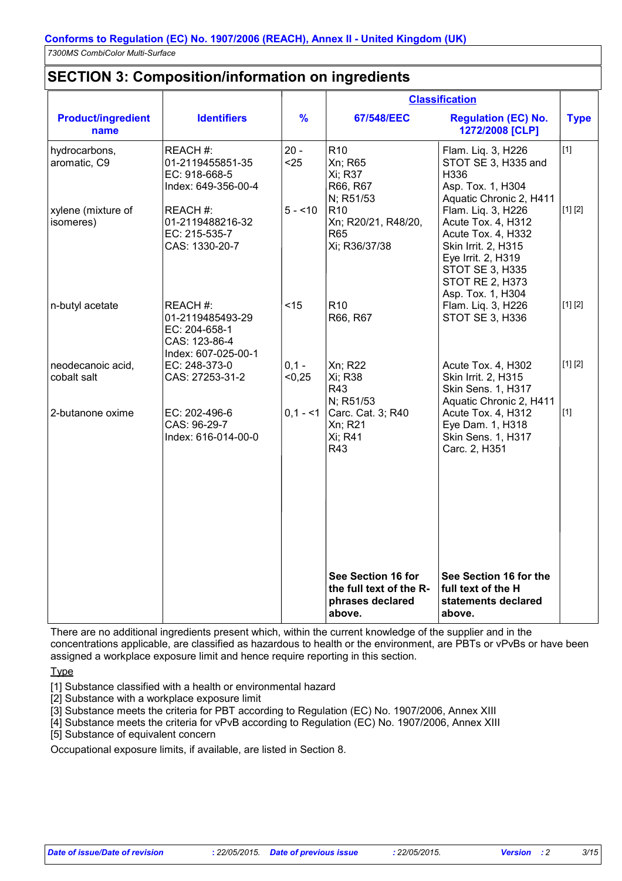### **SECTION 3: Composition/information on ingredients**

|                                   |                                                                                      |                   |                                                                             | <b>Classification</b>                                                                                                                                                                |             |
|-----------------------------------|--------------------------------------------------------------------------------------|-------------------|-----------------------------------------------------------------------------|--------------------------------------------------------------------------------------------------------------------------------------------------------------------------------------|-------------|
| <b>Product/ingredient</b><br>name | <b>Identifiers</b>                                                                   | $\frac{9}{6}$     | 67/548/EEC                                                                  | <b>Regulation (EC) No.</b><br>1272/2008 [CLP]                                                                                                                                        | <b>Type</b> |
| hydrocarbons,<br>aromatic, C9     | REACH #:<br>01-2119455851-35<br>EC: 918-668-5<br>Index: 649-356-00-4                 | $20 -$<br>$25$    | R <sub>10</sub><br>Xn; R65<br>Xi; R37<br>R66, R67<br>N; R51/53              | Flam. Liq. 3, H226<br>STOT SE 3, H335 and<br>H336<br>Asp. Tox. 1, H304<br>Aquatic Chronic 2, H411                                                                                    | $[1]$       |
| xylene (mixture of<br>isomeres)   | REACH #:<br>01-2119488216-32<br>EC: 215-535-7<br>CAS: 1330-20-7                      | $5 - 10$          | R <sub>10</sub><br>Xn; R20/21, R48/20,<br><b>R65</b><br>Xi; R36/37/38       | Flam. Liq. 3, H226<br>Acute Tox. 4, H312<br>Acute Tox. 4, H332<br>Skin Irrit. 2, H315<br>Eye Irrit. 2, H319<br><b>STOT SE 3, H335</b><br><b>STOT RE 2, H373</b><br>Asp. Tox. 1, H304 | [1] [2]     |
| n-butyl acetate                   | REACH#:<br>01-2119485493-29<br>EC: 204-658-1<br>CAS: 123-86-4<br>Index: 607-025-00-1 | < 15              | R <sub>10</sub><br>R66, R67                                                 | Flam. Liq. 3, H226<br><b>STOT SE 3, H336</b>                                                                                                                                         | [1] [2]     |
| neodecanoic acid,<br>cobalt salt  | EC: 248-373-0<br>CAS: 27253-31-2                                                     | $0,1 -$<br>< 0,25 | Xn; R22<br>Xi; R38<br>R43<br>N; R51/53                                      | Acute Tox. 4, H302<br>Skin Irrit. 2, H315<br>Skin Sens. 1, H317<br>Aquatic Chronic 2, H411                                                                                           | [1] [2]     |
| 2-butanone oxime                  | EC: 202-496-6<br>CAS: 96-29-7<br>Index: 616-014-00-0                                 | $0,1 - 1$         | Carc. Cat. 3; R40<br>Xn; R21<br>Xi; R41<br>R43                              | Acute Tox. 4, H312<br>Eye Dam. 1, H318<br>Skin Sens. 1, H317<br>Carc. 2, H351                                                                                                        | $[1]$       |
|                                   |                                                                                      |                   | See Section 16 for<br>the full text of the R-<br>phrases declared<br>above. | See Section 16 for the<br>full text of the H<br>statements declared<br>above.                                                                                                        |             |

There are no additional ingredients present which, within the current knowledge of the supplier and in the concentrations applicable, are classified as hazardous to health or the environment, are PBTs or vPvBs or have been assigned a workplace exposure limit and hence require reporting in this section.

Type

[1] Substance classified with a health or environmental hazard

[2] Substance with a workplace exposure limit

[3] Substance meets the criteria for PBT according to Regulation (EC) No. 1907/2006, Annex XIII

[4] Substance meets the criteria for vPvB according to Regulation (EC) No. 1907/2006, Annex XIII

[5] Substance of equivalent concern

Occupational exposure limits, if available, are listed in Section 8.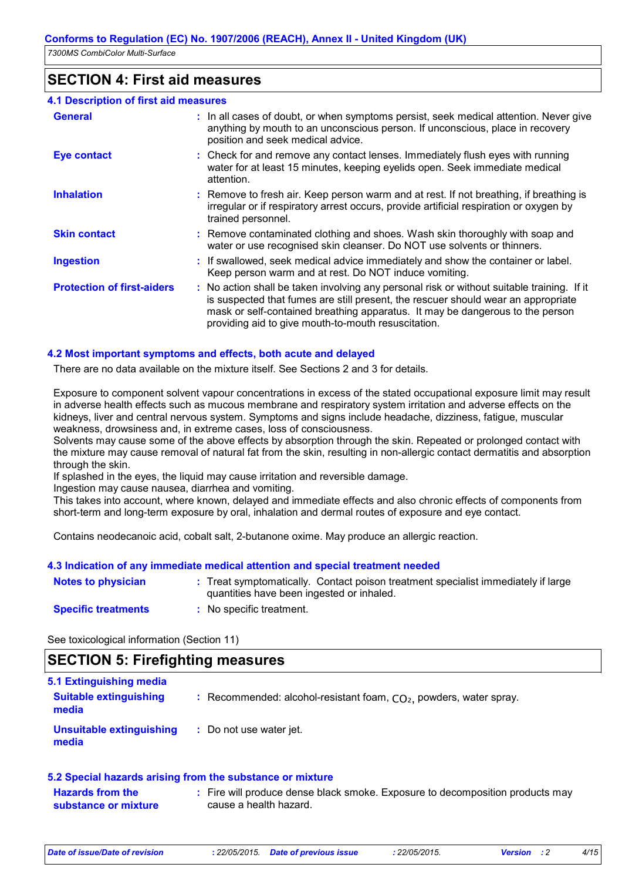### **SECTION 4: First aid measures**

| <b>4.1 Description of first aid measures</b> |                                                                                                                                                                                                                                                                                                                         |
|----------------------------------------------|-------------------------------------------------------------------------------------------------------------------------------------------------------------------------------------------------------------------------------------------------------------------------------------------------------------------------|
| <b>General</b>                               | : In all cases of doubt, or when symptoms persist, seek medical attention. Never give<br>anything by mouth to an unconscious person. If unconscious, place in recovery<br>position and seek medical advice.                                                                                                             |
| <b>Eye contact</b>                           | : Check for and remove any contact lenses. Immediately flush eyes with running<br>water for at least 15 minutes, keeping eyelids open. Seek immediate medical<br>attention.                                                                                                                                             |
| <b>Inhalation</b>                            | : Remove to fresh air. Keep person warm and at rest. If not breathing, if breathing is<br>irregular or if respiratory arrest occurs, provide artificial respiration or oxygen by<br>trained personnel.                                                                                                                  |
| <b>Skin contact</b>                          | : Remove contaminated clothing and shoes. Wash skin thoroughly with soap and<br>water or use recognised skin cleanser. Do NOT use solvents or thinners.                                                                                                                                                                 |
| <b>Ingestion</b>                             | : If swallowed, seek medical advice immediately and show the container or label.<br>Keep person warm and at rest. Do NOT induce vomiting.                                                                                                                                                                               |
| <b>Protection of first-aiders</b>            | : No action shall be taken involving any personal risk or without suitable training. If it<br>is suspected that fumes are still present, the rescuer should wear an appropriate<br>mask or self-contained breathing apparatus. It may be dangerous to the person<br>providing aid to give mouth-to-mouth resuscitation. |

### **4.2 Most important symptoms and effects, both acute and delayed**

There are no data available on the mixture itself. See Sections 2 and 3 for details.

Exposure to component solvent vapour concentrations in excess of the stated occupational exposure limit may result in adverse health effects such as mucous membrane and respiratory system irritation and adverse effects on the kidneys, liver and central nervous system. Symptoms and signs include headache, dizziness, fatigue, muscular weakness, drowsiness and, in extreme cases, loss of consciousness.

Solvents may cause some of the above effects by absorption through the skin. Repeated or prolonged contact with the mixture may cause removal of natural fat from the skin, resulting in non-allergic contact dermatitis and absorption through the skin.

If splashed in the eyes, the liquid may cause irritation and reversible damage.

Ingestion may cause nausea, diarrhea and vomiting.

This takes into account, where known, delayed and immediate effects and also chronic effects of components from short-term and long-term exposure by oral, inhalation and dermal routes of exposure and eye contact.

Contains neodecanoic acid, cobalt salt, 2-butanone oxime. May produce an allergic reaction.

### **4.3 Indication of any immediate medical attention and special treatment needed**

| <b>Notes to physician</b>  | : Treat symptomatically. Contact poison treatment specialist immediately if large<br>quantities have been ingested or inhaled. |
|----------------------------|--------------------------------------------------------------------------------------------------------------------------------|
| <b>Specific treatments</b> | No specific treatment.                                                                                                         |

See toxicological information (Section 11)

### **SECTION 5: Firefighting measures**

| 5.1 Extinguishing media                |                                                                      |
|----------------------------------------|----------------------------------------------------------------------|
| <b>Suitable extinguishing</b><br>media | : Recommended: alcohol-resistant foam, $CO2$ , powders, water spray. |
| Unsuitable extinguishing<br>media      | : Do not use water jet.                                              |

#### **5.2 Special hazards arising from the substance or mixture**

| <b>Hazards from the</b> | Fire will produce dense black smoke. Exposure to decomposition products may |  |
|-------------------------|-----------------------------------------------------------------------------|--|
| substance or mixture    | cause a health hazard.                                                      |  |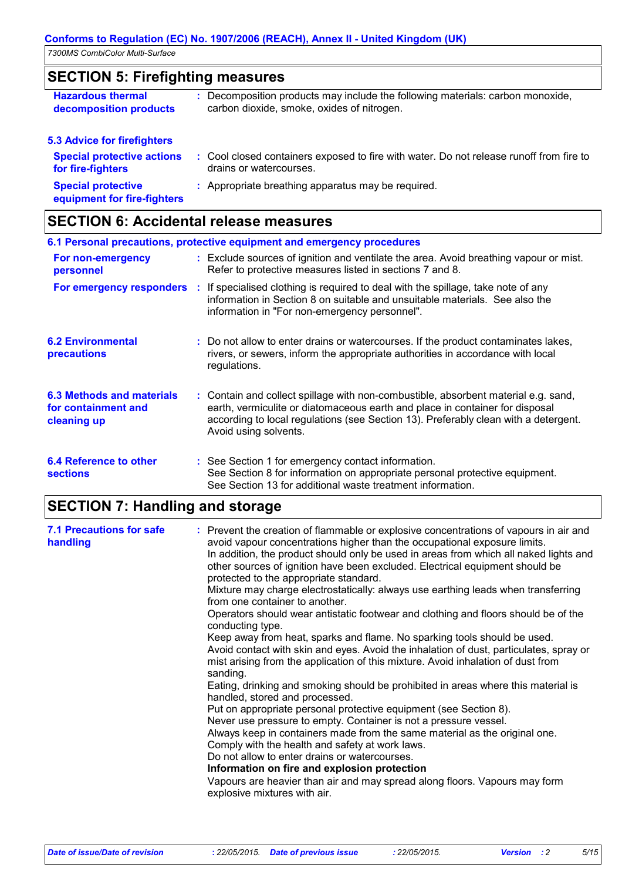## **SECTION 5: Firefighting measures**

| <b>Hazardous thermal</b><br>decomposition products                                           | : Decomposition products may include the following materials: carbon monoxide,<br>carbon dioxide, smoke, oxides of nitrogen. |
|----------------------------------------------------------------------------------------------|------------------------------------------------------------------------------------------------------------------------------|
| <b>5.3 Advice for firefighters</b><br><b>Special protective actions</b><br>for fire-fighters | : Cool closed containers exposed to fire with water. Do not release runoff from fire to<br>drains or watercourses.           |
| <b>Special protective</b>                                                                    | : Appropriate breathing apparatus may be required.                                                                           |

**equipment for fire-fighters**

## **SECTION 6: Accidental release measures**

|                                                                        | 6.1 Personal precautions, protective equipment and emergency procedures                                                                                                                                                                                                            |
|------------------------------------------------------------------------|------------------------------------------------------------------------------------------------------------------------------------------------------------------------------------------------------------------------------------------------------------------------------------|
| For non-emergency<br>personnel                                         | : Exclude sources of ignition and ventilate the area. Avoid breathing vapour or mist.<br>Refer to protective measures listed in sections 7 and 8.                                                                                                                                  |
|                                                                        | For emergency responders : If specialised clothing is required to deal with the spillage, take note of any<br>information in Section 8 on suitable and unsuitable materials. See also the<br>information in "For non-emergency personnel".                                         |
| <b>6.2 Environmental</b><br><b>precautions</b>                         | : Do not allow to enter drains or watercourses. If the product contaminates lakes,<br>rivers, or sewers, inform the appropriate authorities in accordance with local<br>regulations.                                                                                               |
| <b>6.3 Methods and materials</b><br>for containment and<br>cleaning up | : Contain and collect spillage with non-combustible, absorbent material e.g. sand,<br>earth, vermiculite or diatomaceous earth and place in container for disposal<br>according to local regulations (see Section 13). Preferably clean with a detergent.<br>Avoid using solvents. |
| 6.4 Reference to other<br><b>sections</b>                              | : See Section 1 for emergency contact information.<br>See Section 8 for information on appropriate personal protective equipment.<br>See Section 13 for additional waste treatment information.                                                                                    |

# **SECTION 7: Handling and storage**

| <b>7.1 Precautions for safe</b><br>handling | : Prevent the creation of flammable or explosive concentrations of vapours in air and<br>avoid vapour concentrations higher than the occupational exposure limits.<br>In addition, the product should only be used in areas from which all naked lights and<br>other sources of ignition have been excluded. Electrical equipment should be<br>protected to the appropriate standard.<br>Mixture may charge electrostatically: always use earthing leads when transferring<br>from one container to another.<br>Operators should wear antistatic footwear and clothing and floors should be of the<br>conducting type.<br>Keep away from heat, sparks and flame. No sparking tools should be used.<br>Avoid contact with skin and eyes. Avoid the inhalation of dust, particulates, spray or<br>mist arising from the application of this mixture. Avoid inhalation of dust from<br>sanding.<br>Eating, drinking and smoking should be prohibited in areas where this material is<br>handled, stored and processed.<br>Put on appropriate personal protective equipment (see Section 8).<br>Never use pressure to empty. Container is not a pressure vessel.<br>Always keep in containers made from the same material as the original one.<br>Comply with the health and safety at work laws.<br>Do not allow to enter drains or watercourses.<br>Information on fire and explosion protection<br>Vapours are heavier than air and may spread along floors. Vapours may form<br>explosive mixtures with air. |
|---------------------------------------------|--------------------------------------------------------------------------------------------------------------------------------------------------------------------------------------------------------------------------------------------------------------------------------------------------------------------------------------------------------------------------------------------------------------------------------------------------------------------------------------------------------------------------------------------------------------------------------------------------------------------------------------------------------------------------------------------------------------------------------------------------------------------------------------------------------------------------------------------------------------------------------------------------------------------------------------------------------------------------------------------------------------------------------------------------------------------------------------------------------------------------------------------------------------------------------------------------------------------------------------------------------------------------------------------------------------------------------------------------------------------------------------------------------------------------------------------------------------------------------------------------------------|
|                                             |                                                                                                                                                                                                                                                                                                                                                                                                                                                                                                                                                                                                                                                                                                                                                                                                                                                                                                                                                                                                                                                                                                                                                                                                                                                                                                                                                                                                                                                                                                              |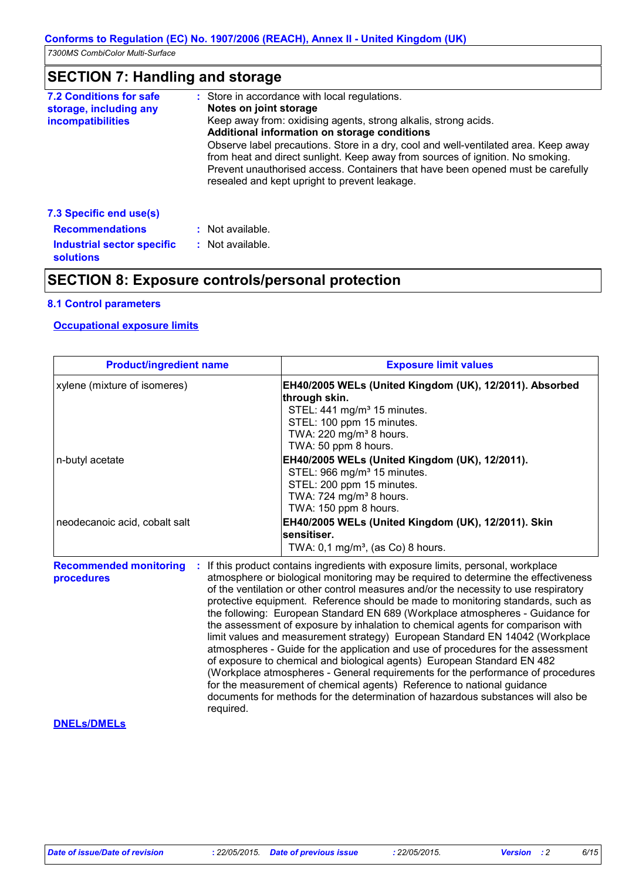# **SECTION 7: Handling and storage**

| <b>7.2 Conditions for safe</b><br>storage, including any<br><b>incompatibilities</b> | : Store in accordance with local regulations.<br>Notes on joint storage<br>Keep away from: oxidising agents, strong alkalis, strong acids.<br>Additional information on storage conditions<br>Observe label precautions. Store in a dry, cool and well-ventilated area. Keep away<br>from heat and direct sunlight. Keep away from sources of ignition. No smoking.<br>Prevent unauthorised access. Containers that have been opened must be carefully<br>resealed and kept upright to prevent leakage. |
|--------------------------------------------------------------------------------------|---------------------------------------------------------------------------------------------------------------------------------------------------------------------------------------------------------------------------------------------------------------------------------------------------------------------------------------------------------------------------------------------------------------------------------------------------------------------------------------------------------|
| 7.3 Specific end use(s)                                                              |                                                                                                                                                                                                                                                                                                                                                                                                                                                                                                         |
| <b>Recommendations</b>                                                               | : Not available.                                                                                                                                                                                                                                                                                                                                                                                                                                                                                        |
| <b>Industrial sector specific</b><br><b>solutions</b>                                | $:$ Not available.                                                                                                                                                                                                                                                                                                                                                                                                                                                                                      |

### **SECTION 8: Exposure controls/personal protection**

### **8.1 Control parameters**

### **Occupational exposure limits**

| <b>Product/ingredient name</b>                           | <b>Exposure limit values</b>                                                                                                                                                                                                                                                                                                                                                                                                                                                                                                                                                                                                                                                                                                                                                                                                                                                                                                                                                                                        |
|----------------------------------------------------------|---------------------------------------------------------------------------------------------------------------------------------------------------------------------------------------------------------------------------------------------------------------------------------------------------------------------------------------------------------------------------------------------------------------------------------------------------------------------------------------------------------------------------------------------------------------------------------------------------------------------------------------------------------------------------------------------------------------------------------------------------------------------------------------------------------------------------------------------------------------------------------------------------------------------------------------------------------------------------------------------------------------------|
| xylene (mixture of isomeres)                             | EH40/2005 WELs (United Kingdom (UK), 12/2011). Absorbed<br>through skin.<br>STEL: 441 mg/m <sup>3</sup> 15 minutes.<br>STEL: 100 ppm 15 minutes.<br>TWA: 220 mg/m <sup>3</sup> 8 hours.<br>TWA: 50 ppm 8 hours.                                                                                                                                                                                                                                                                                                                                                                                                                                                                                                                                                                                                                                                                                                                                                                                                     |
| n-butyl acetate                                          | EH40/2005 WELs (United Kingdom (UK), 12/2011).<br>STEL: 966 mg/m <sup>3</sup> 15 minutes.<br>STEL: 200 ppm 15 minutes.<br>TWA: 724 mg/m <sup>3</sup> 8 hours.<br>TWA: 150 ppm 8 hours.                                                                                                                                                                                                                                                                                                                                                                                                                                                                                                                                                                                                                                                                                                                                                                                                                              |
| neodecanoic acid, cobalt salt                            | EH40/2005 WELs (United Kingdom (UK), 12/2011). Skin<br>sensitiser.<br>TWA: $0,1$ mg/m <sup>3</sup> , (as Co) 8 hours.                                                                                                                                                                                                                                                                                                                                                                                                                                                                                                                                                                                                                                                                                                                                                                                                                                                                                               |
| <b>Recommended monitoring</b><br>procedures<br>required. | If this product contains ingredients with exposure limits, personal, workplace<br>atmosphere or biological monitoring may be required to determine the effectiveness<br>of the ventilation or other control measures and/or the necessity to use respiratory<br>protective equipment. Reference should be made to monitoring standards, such as<br>the following: European Standard EN 689 (Workplace atmospheres - Guidance for<br>the assessment of exposure by inhalation to chemical agents for comparison with<br>limit values and measurement strategy) European Standard EN 14042 (Workplace<br>atmospheres - Guide for the application and use of procedures for the assessment<br>of exposure to chemical and biological agents) European Standard EN 482<br>(Workplace atmospheres - General requirements for the performance of procedures<br>for the measurement of chemical agents) Reference to national guidance<br>documents for methods for the determination of hazardous substances will also be |
| <b>DNELS/DMELS</b>                                       |                                                                                                                                                                                                                                                                                                                                                                                                                                                                                                                                                                                                                                                                                                                                                                                                                                                                                                                                                                                                                     |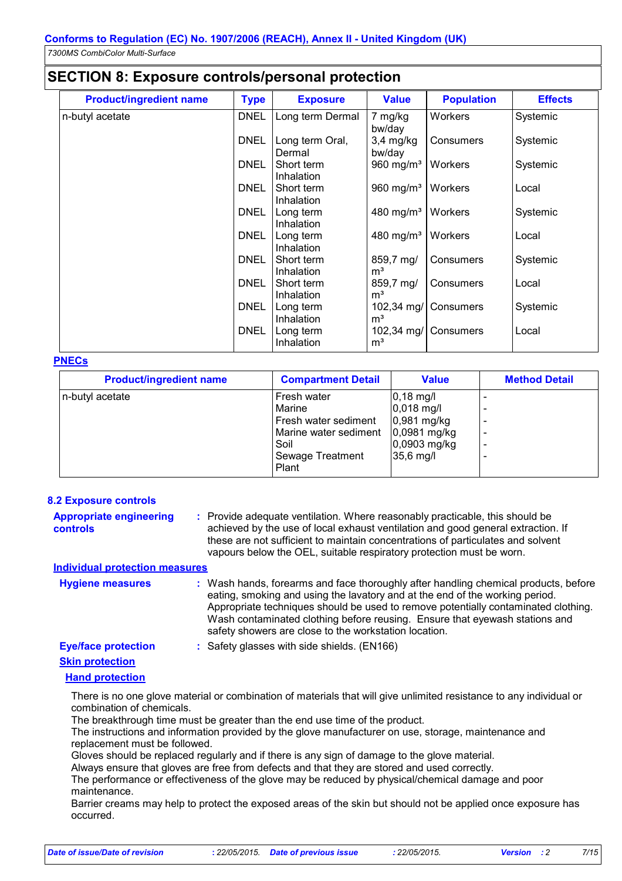### **SECTION 8: Exposure controls/personal protection**

| <b>Product/ingredient name</b> | <b>Type</b> | <b>Exposure</b>           | <b>Value</b>                 | <b>Population</b> | <b>Effects</b> |
|--------------------------------|-------------|---------------------------|------------------------------|-------------------|----------------|
| n-butyl acetate                | <b>DNEL</b> | Long term Dermal          | 7 mg/kg<br>bw/day            | Workers           | Systemic       |
|                                | <b>DNEL</b> | Long term Oral,<br>Dermal | $3,4$ mg/kg<br>bw/day        | Consumers         | Systemic       |
|                                | <b>DNEL</b> | Short term<br>Inhalation  | 960 mg/m <sup>3</sup>        | Workers           | Systemic       |
|                                | <b>DNEL</b> | Short term<br>Inhalation  | 960 mg/m <sup>3</sup>        | Workers           | Local          |
|                                | <b>DNEL</b> | Long term<br>Inhalation   | 480 mg/m <sup>3</sup>        | Workers           | Systemic       |
|                                | <b>DNEL</b> | Long term<br>Inhalation   | 480 mg/m <sup>3</sup>        | Workers           | Local          |
|                                | <b>DNEL</b> | Short term<br>Inhalation  | 859,7 mg/<br>m <sup>3</sup>  | Consumers         | Systemic       |
|                                | <b>DNEL</b> | Short term<br>Inhalation  | 859,7 mg/<br>m <sup>3</sup>  | Consumers         | Local          |
|                                | <b>DNEL</b> | Long term<br>Inhalation   | 102,34 mg/<br>m <sup>3</sup> | Consumers         | Systemic       |
|                                | <b>DNEL</b> | Long term<br>Inhalation   | 102,34 mg/<br>m <sup>3</sup> | Consumers         | Local          |

#### **PNECs**

| <b>Product/ingredient name</b> | <b>Compartment Detail</b>                                                                                   | <b>Value</b>                                                                            | <b>Method Detail</b> |
|--------------------------------|-------------------------------------------------------------------------------------------------------------|-----------------------------------------------------------------------------------------|----------------------|
| n-butyl acetate                | Fresh water<br>Marine<br>Fresh water sediment<br>Marine water sediment<br>Soil<br>Sewage Treatment<br>Plant | $0,18$ mg/l<br>$0,018$ mg/l<br>0,981 mg/kg<br>0,0981 mg/kg<br>0,0903 mg/kg<br>35,6 mg/l |                      |

### **8.2 Exposure controls**

| <b>Appropriate engineering</b> | : Provide adequate ventilation. Where reasonably practicable, this should be     |
|--------------------------------|----------------------------------------------------------------------------------|
| controls                       | achieved by the use of local exhaust ventilation and good general extraction. If |
|                                | these are not sufficient to maintain concentrations of particulates and solvent  |
|                                | vapours below the OEL, suitable respiratory protection must be worn.             |

### **Individual protection measures**

| <b>Hygiene measures</b>    | : Wash hands, forearms and face thoroughly after handling chemical products, before<br>eating, smoking and using the lavatory and at the end of the working period.<br>Appropriate techniques should be used to remove potentially contaminated clothing.<br>Wash contaminated clothing before reusing. Ensure that eyewash stations and<br>safety showers are close to the workstation location. |
|----------------------------|---------------------------------------------------------------------------------------------------------------------------------------------------------------------------------------------------------------------------------------------------------------------------------------------------------------------------------------------------------------------------------------------------|
| <b>Eye/face protection</b> | : Safety glasses with side shields. (EN166)                                                                                                                                                                                                                                                                                                                                                       |

# **Skin protection**

### **Hand protection**

There is no one glove material or combination of materials that will give unlimited resistance to any individual or combination of chemicals.

The breakthrough time must be greater than the end use time of the product.

The instructions and information provided by the glove manufacturer on use, storage, maintenance and replacement must be followed.

Gloves should be replaced regularly and if there is any sign of damage to the glove material.

Always ensure that gloves are free from defects and that they are stored and used correctly. The performance or effectiveness of the glove may be reduced by physical/chemical damage and poor

maintenance.

Barrier creams may help to protect the exposed areas of the skin but should not be applied once exposure has occurred.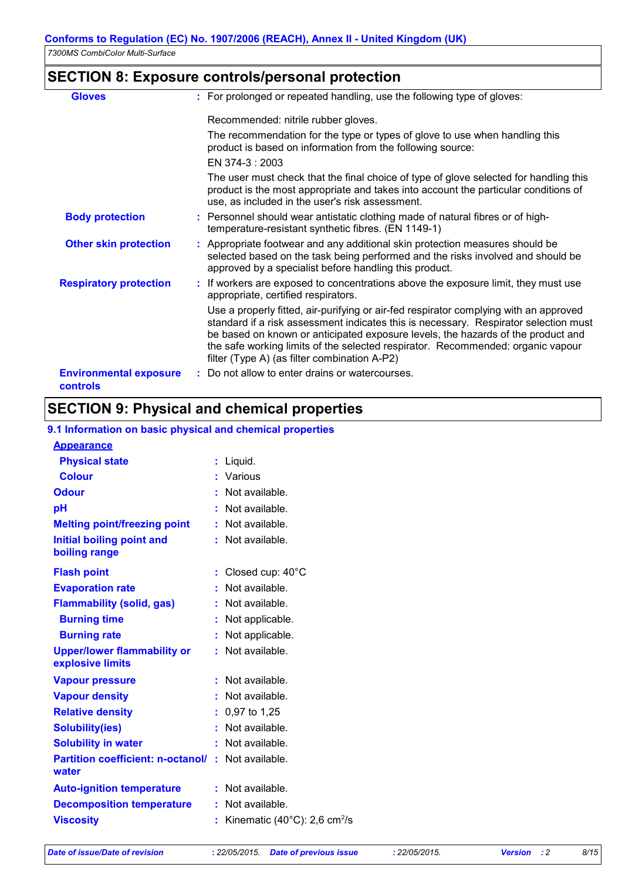## **SECTION 8: Exposure controls/personal protection**

| <b>Gloves</b>                                    | : For prolonged or repeated handling, use the following type of gloves:                                                                                                                                                                                                                                                                                                                              |
|--------------------------------------------------|------------------------------------------------------------------------------------------------------------------------------------------------------------------------------------------------------------------------------------------------------------------------------------------------------------------------------------------------------------------------------------------------------|
|                                                  | Recommended: nitrile rubber gloves.                                                                                                                                                                                                                                                                                                                                                                  |
|                                                  | The recommendation for the type or types of glove to use when handling this<br>product is based on information from the following source:                                                                                                                                                                                                                                                            |
|                                                  | EN 374-3 : 2003                                                                                                                                                                                                                                                                                                                                                                                      |
|                                                  | The user must check that the final choice of type of glove selected for handling this<br>product is the most appropriate and takes into account the particular conditions of<br>use, as included in the user's risk assessment.                                                                                                                                                                      |
| <b>Body protection</b>                           | : Personnel should wear antistatic clothing made of natural fibres or of high-<br>temperature-resistant synthetic fibres. (EN 1149-1)                                                                                                                                                                                                                                                                |
| <b>Other skin protection</b>                     | : Appropriate footwear and any additional skin protection measures should be<br>selected based on the task being performed and the risks involved and should be<br>approved by a specialist before handling this product.                                                                                                                                                                            |
| <b>Respiratory protection</b>                    | : If workers are exposed to concentrations above the exposure limit, they must use<br>appropriate, certified respirators.                                                                                                                                                                                                                                                                            |
|                                                  | Use a properly fitted, air-purifying or air-fed respirator complying with an approved<br>standard if a risk assessment indicates this is necessary. Respirator selection must<br>be based on known or anticipated exposure levels, the hazards of the product and<br>the safe working limits of the selected respirator. Recommended: organic vapour<br>filter (Type A) (as filter combination A-P2) |
| <b>Environmental exposure</b><br><b>controls</b> | : Do not allow to enter drains or watercourses.                                                                                                                                                                                                                                                                                                                                                      |

## **SECTION 9: Physical and chemical properties**

### **9.1 Information on basic physical and chemical properties**

| <b>Appearance</b>                                      |    |                                                     |
|--------------------------------------------------------|----|-----------------------------------------------------|
| <b>Physical state</b>                                  |    | $:$ Liquid.                                         |
| <b>Colour</b>                                          |    | : Various                                           |
| <b>Odour</b>                                           |    | Not available.                                      |
| рH                                                     |    | Not available.                                      |
| <b>Melting point/freezing point</b>                    |    | Not available.                                      |
| <b>Initial boiling point and</b><br>boiling range      |    | Not available.                                      |
| <b>Flash point</b>                                     |    | Closed cup: 40°C                                    |
| <b>Evaporation rate</b>                                |    | Not available.                                      |
| <b>Flammability (solid, gas)</b>                       |    | Not available.                                      |
| <b>Burning time</b>                                    |    | Not applicable.                                     |
| <b>Burning rate</b>                                    |    | Not applicable.                                     |
| <b>Upper/lower flammability or</b><br>explosive limits |    | Not available.                                      |
| <b>Vapour pressure</b>                                 |    | Not available.                                      |
| <b>Vapour density</b>                                  |    | Not available.                                      |
| <b>Relative density</b>                                |    | 0,97 to 1,25                                        |
| <b>Solubility(ies)</b>                                 |    | Not available.                                      |
| <b>Solubility in water</b>                             |    | Not available.                                      |
| <b>Partition coefficient: n-octanol/</b><br>water      | t. | Not available.                                      |
| <b>Auto-ignition temperature</b>                       |    | Not available.                                      |
| <b>Decomposition temperature</b>                       |    | Not available.                                      |
| <b>Viscosity</b>                                       |    | Kinematic (40 $^{\circ}$ C): 2,6 cm <sup>2</sup> /s |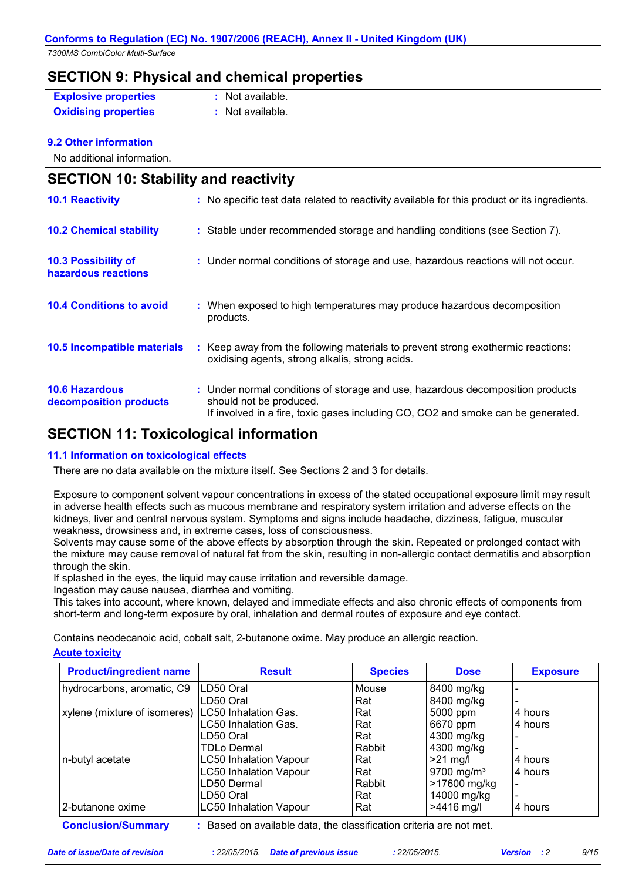#### **Conforms to Regulation (EC) No. 1907/2006 (REACH), Annex II - United Kingdom (UK)**

*7300MS CombiColor Multi-Surface*

### **SECTION 9: Physical and chemical properties**

**Explosive properties :** Not available.

**Oxidising properties** : Not available.

### **9.2 Other information**

No additional information.

| <b>SECTION 10: Stability and reactivity</b>       |                                                                                                                                                                                               |  |  |
|---------------------------------------------------|-----------------------------------------------------------------------------------------------------------------------------------------------------------------------------------------------|--|--|
| <b>10.1 Reactivity</b>                            | : No specific test data related to reactivity available for this product or its ingredients.                                                                                                  |  |  |
| <b>10.2 Chemical stability</b>                    | : Stable under recommended storage and handling conditions (see Section 7).                                                                                                                   |  |  |
| <b>10.3 Possibility of</b><br>hazardous reactions | : Under normal conditions of storage and use, hazardous reactions will not occur.                                                                                                             |  |  |
| <b>10.4 Conditions to avoid</b>                   | : When exposed to high temperatures may produce hazardous decomposition<br>products.                                                                                                          |  |  |
| 10.5 Incompatible materials                       | : Keep away from the following materials to prevent strong exothermic reactions:<br>oxidising agents, strong alkalis, strong acids.                                                           |  |  |
| <b>10.6 Hazardous</b><br>decomposition products   | : Under normal conditions of storage and use, hazardous decomposition products<br>should not be produced.<br>If involved in a fire, toxic gases including CO, CO2 and smoke can be generated. |  |  |
|                                                   |                                                                                                                                                                                               |  |  |

### **SECTION 11: Toxicological information**

### **11.1 Information on toxicological effects**

There are no data available on the mixture itself. See Sections 2 and 3 for details.

Exposure to component solvent vapour concentrations in excess of the stated occupational exposure limit may result in adverse health effects such as mucous membrane and respiratory system irritation and adverse effects on the kidneys, liver and central nervous system. Symptoms and signs include headache, dizziness, fatigue, muscular weakness, drowsiness and, in extreme cases, loss of consciousness.

Solvents may cause some of the above effects by absorption through the skin. Repeated or prolonged contact with the mixture may cause removal of natural fat from the skin, resulting in non-allergic contact dermatitis and absorption through the skin.

If splashed in the eyes, the liquid may cause irritation and reversible damage.

Ingestion may cause nausea, diarrhea and vomiting.

This takes into account, where known, delayed and immediate effects and also chronic effects of components from short-term and long-term exposure by oral, inhalation and dermal routes of exposure and eye contact.

Contains neodecanoic acid, cobalt salt, 2-butanone oxime. May produce an allergic reaction.

### **Acute toxicity**

| <b>Product/ingredient name</b>                                                                   | <b>Result</b>                 | <b>Species</b> | <b>Dose</b>            | <b>Exposure</b> |  |
|--------------------------------------------------------------------------------------------------|-------------------------------|----------------|------------------------|-----------------|--|
| hydrocarbons, aromatic, C9                                                                       | LD50 Oral                     | Mouse          | 8400 mg/kg             |                 |  |
|                                                                                                  | LD50 Oral                     | Rat            | 8400 mg/kg             |                 |  |
| xylene (mixture of isomeres)                                                                     | LC50 Inhalation Gas.          | Rat            | 5000 ppm               | 4 hours         |  |
|                                                                                                  | LC50 Inhalation Gas.          | Rat            | 6670 ppm               | 4 hours         |  |
|                                                                                                  | LD50 Oral                     | Rat            | 4300 mg/kg             |                 |  |
|                                                                                                  | TDLo Dermal                   | Rabbit         | 4300 mg/kg             |                 |  |
| n-butyl acetate                                                                                  | <b>LC50 Inhalation Vapour</b> | Rat            | $>21$ mg/l             | 4 hours         |  |
|                                                                                                  | LC50 Inhalation Vapour        | Rat            | 9700 mg/m <sup>3</sup> | 4 hours         |  |
|                                                                                                  | LD50 Dermal                   | Rabbit         | >17600 mg/kg           |                 |  |
|                                                                                                  | LD50 Oral                     | Rat            | 14000 mg/kg            |                 |  |
| l 2-butanone oxime                                                                               | <b>LC50 Inhalation Vapour</b> | Rat            | $>4416$ mg/l           | 4 hours         |  |
| <b>Conclusion/Summary</b><br>: Based on available data, the classification criteria are not met. |                               |                |                        |                 |  |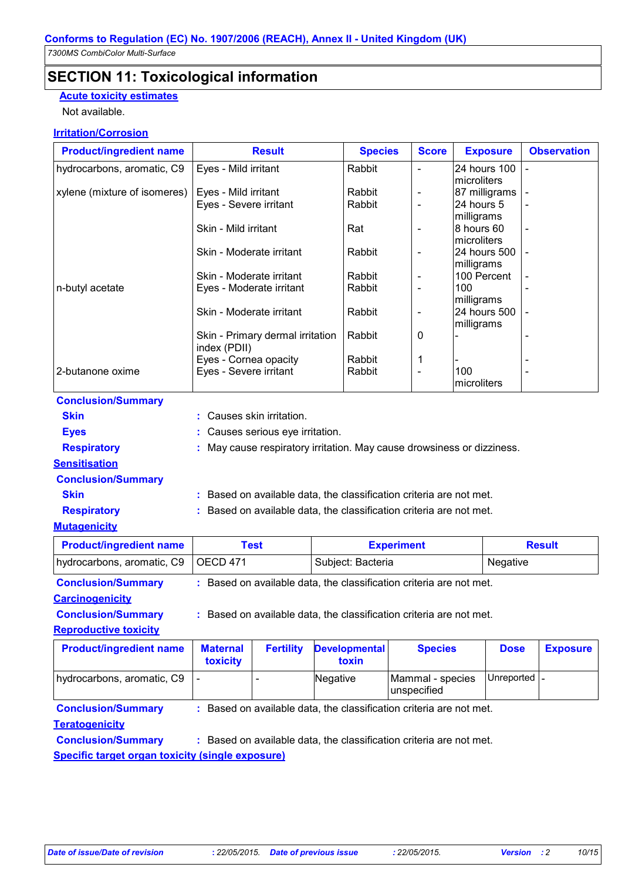## **SECTION 11: Toxicological information**

### **Acute toxicity estimates**

Not available.

### **Irritation/Corrosion**

| <b>Product/ingredient name</b> | <b>Result</b>                    | <b>Species</b> | <b>Score</b>             | <b>Exposure</b> | <b>Observation</b> |
|--------------------------------|----------------------------------|----------------|--------------------------|-----------------|--------------------|
| hydrocarbons, aromatic, C9     | Eyes - Mild irritant             | Rabbit         | $\blacksquare$           | 24 hours 100    |                    |
|                                |                                  |                |                          | microliters     |                    |
| xylene (mixture of isomeres)   | Eyes - Mild irritant             | Rabbit         | $\overline{\phantom{a}}$ | 87 milligrams   |                    |
|                                | Eyes - Severe irritant           | Rabbit         | $\blacksquare$           | 24 hours 5      |                    |
|                                |                                  |                |                          | milligrams      |                    |
|                                | Skin - Mild irritant             | Rat            | $\blacksquare$           | 8 hours 60      | $\blacksquare$     |
|                                |                                  |                |                          | microliters     |                    |
|                                | Skin - Moderate irritant         | Rabbit         | $\overline{\phantom{a}}$ | 24 hours 500    |                    |
|                                |                                  |                |                          | milligrams      |                    |
|                                | Skin - Moderate irritant         | Rabbit         |                          | 100 Percent     |                    |
| n-butyl acetate                | Eyes - Moderate irritant         | Rabbit         | $\overline{\phantom{a}}$ | 100             |                    |
|                                |                                  |                |                          | milligrams      |                    |
|                                | Skin - Moderate irritant         | Rabbit         | $\overline{\phantom{a}}$ | 24 hours 500    |                    |
|                                |                                  |                |                          | milligrams      |                    |
|                                | Skin - Primary dermal irritation | Rabbit         | 0                        |                 |                    |
|                                | index (PDII)                     |                |                          |                 |                    |
|                                | Eyes - Cornea opacity            | Rabbit         | 1                        |                 |                    |
| 2-butanone oxime               | Eyes - Severe irritant           | Rabbit         | $\blacksquare$           | 100             |                    |
|                                |                                  |                |                          | microliters     |                    |
| <b>Conclusion/Summary</b>      |                                  |                |                          |                 |                    |

| <b>Skin</b>               | : Causes skin irritation.                                              |
|---------------------------|------------------------------------------------------------------------|
| <b>Eyes</b>               | : Causes serious eye irritation.                                       |
| <b>Respiratory</b>        | : May cause respiratory irritation. May cause drowsiness or dizziness. |
| <b>Sensitisation</b>      |                                                                        |
| <b>Conclusion/Summary</b> |                                                                        |
| <b>Skin</b>               | : Based on available data, the classification criteria are not met.    |
| <b>Respiratory</b>        | : Based on available data, the classification criteria are not met.    |
| M4                        |                                                                        |

### **Mutagenicity**

| <b>Product/ingredient name</b>        | Test | <b>Experiment</b> | <b>Result</b> |
|---------------------------------------|------|-------------------|---------------|
| hydrocarbons, aromatic, C9   OECD 471 |      | Subject: Bacteria | Negative      |

**Conclusion/Summary :** Based on available data, the classification criteria are not met.

### **Carcinogenicity**

**Conclusion/Summary :** Based on available data, the classification criteria are not met.

### **Reproductive toxicity**

| <b>Product/ingredient name</b>   | <b>Maternal</b><br>toxicity                                       | <b>Fertility</b> | <b>Developmental</b><br>toxin | <b>Species</b>                                                                                                | <b>Dose</b>   | <b>Exposure</b> |
|----------------------------------|-------------------------------------------------------------------|------------------|-------------------------------|---------------------------------------------------------------------------------------------------------------|---------------|-----------------|
| hydrocarbons, aromatic, C9       |                                                                   |                  | Negative                      | Mammal - species<br>unspecified                                                                               | Unreported  - |                 |
| <b>Conclusion/Summary</b>        | Based on available data, the classification criteria are not met. |                  |                               |                                                                                                               |               |                 |
| <b>Teratogenicity</b>            |                                                                   |                  |                               |                                                                                                               |               |                 |
| As a check of the Hammad and the |                                                                   |                  |                               | . Danan diasarkan dalam kalang dan berasa di bagai dan berasa dan berasa dan berasa dan berasa dan berasa dan |               |                 |

**Conclusion/Summary :** Based on available data, the classification criteria are not met.

**Specific target organ toxicity (single exposure)**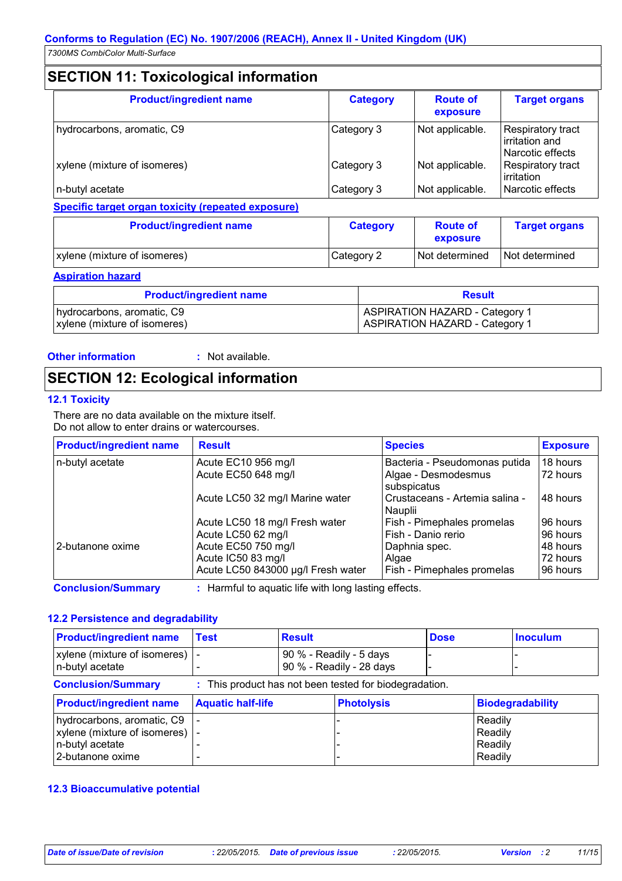# **SECTION 11: Toxicological information**

| <b>Product/ingredient name</b> | <b>Category</b> | <b>Route of</b><br>exposure | <b>Target organs</b>                                           |
|--------------------------------|-----------------|-----------------------------|----------------------------------------------------------------|
| hydrocarbons, aromatic, C9     | Category 3      | Not applicable.             | <b>Respiratory tract</b><br>irritation and<br>Narcotic effects |
| xylene (mixture of isomeres)   | Category 3      | Not applicable.             | Respiratory tract<br>irritation                                |
| n-butyl acetate                | Category 3      | Not applicable.             | Narcotic effects                                               |

**Specific target organ toxicity (repeated exposure)**

| <b>Product/ingredient name</b> | <b>Category</b> | <b>Route of</b><br>exposure | <b>Target organs</b> |  |
|--------------------------------|-----------------|-----------------------------|----------------------|--|
| xylene (mixture of isomeres)   | Category 2      | Not determined              | Not determined       |  |

**Aspiration hazard**

| <b>Product/ingredient name</b> | <b>Result</b>                         |  |  |
|--------------------------------|---------------------------------------|--|--|
| hydrocarbons, aromatic, C9     | <b>ASPIRATION HAZARD - Category 1</b> |  |  |
| xylene (mixture of isomeres)   | <b>ASPIRATION HAZARD - Category 1</b> |  |  |

**Other information :** : Not available.

# **SECTION 12: Ecological information**

### **12.1 Toxicity**

There are no data available on the mixture itself. Do not allow to enter drains or watercourses.

| <b>Product/ingredient name</b> | <b>Result</b>                      | <b>Species</b>                            | <b>Exposure</b> |
|--------------------------------|------------------------------------|-------------------------------------------|-----------------|
| n-butyl acetate                | Acute EC10 956 mg/l                | Bacteria - Pseudomonas putida             | 18 hours        |
|                                | Acute EC50 648 mg/l                | Algae - Desmodesmus<br>subspicatus        | 72 hours        |
|                                | Acute LC50 32 mg/l Marine water    | Crustaceans - Artemia salina -<br>Nauplii | 148 hours       |
|                                | Acute LC50 18 mg/l Fresh water     | Fish - Pimephales promelas                | 96 hours        |
|                                | Acute LC50 62 mg/l                 | Fish - Danio rerio                        | 96 hours        |
| 2-butanone oxime               | Acute EC50 750 mg/l                | Daphnia spec.                             | 48 hours        |
|                                | Acute IC50 83 mg/l                 | Algae                                     | 72 hours        |
|                                | Acute LC50 843000 µg/l Fresh water | Fish - Pimephales promelas                | 96 hours        |

**Conclusion/Summary :** Harmful to aquatic life with long lasting effects.

### **12.2 Persistence and degradability**

| <b>Product/ingredient name</b>                                                                              | <b>Test</b>              | <b>Result</b> |                                                        | <b>Dose</b> |                                          | <b>Inoculum</b>         |
|-------------------------------------------------------------------------------------------------------------|--------------------------|---------------|--------------------------------------------------------|-------------|------------------------------------------|-------------------------|
| xylene (mixture of isomeres) $\vert$ -<br>n-butyl acetate                                                   |                          |               | 90 % - Readily - 5 days<br>90 % - Readily - 28 days    |             |                                          |                         |
| <b>Conclusion/Summary</b>                                                                                   |                          |               | : This product has not been tested for biodegradation. |             |                                          |                         |
| <b>Product/ingredient name</b>                                                                              | <b>Aquatic half-life</b> |               | <b>Photolysis</b>                                      |             |                                          | <b>Biodegradability</b> |
| hydrocarbons, aromatic, C9<br>xylene (mixture of isomeres) $\vert$ -<br>n-butyl acetate<br>2-butanone oxime |                          |               |                                                        |             | Readily<br>Readily<br>Readily<br>Readily |                         |

### **12.3 Bioaccumulative potential**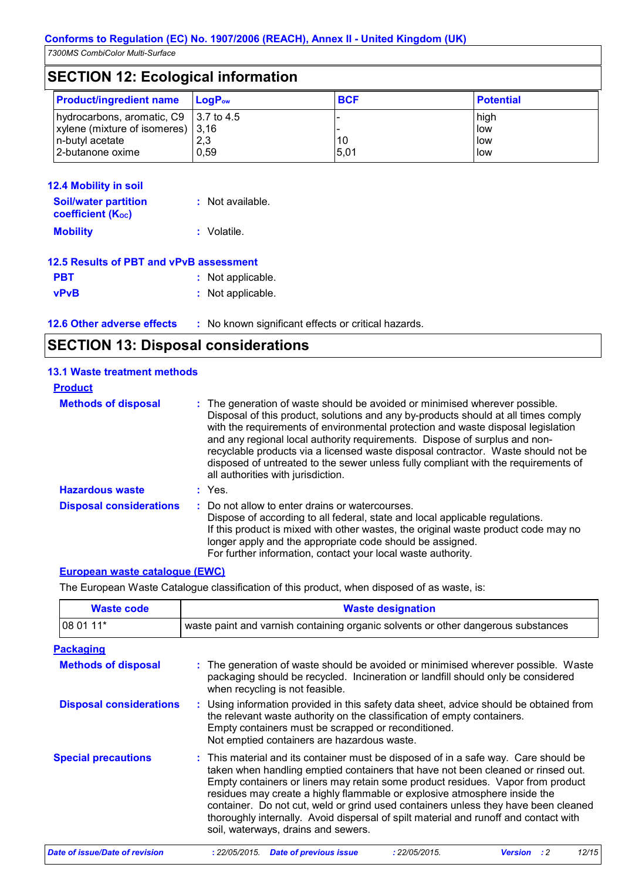| <b>SECTION 12: Ecological information</b>     |                             |            |                  |  |
|-----------------------------------------------|-----------------------------|------------|------------------|--|
| <b>Product/ingredient name</b>                | $\mathsf{LogP}_\mathsf{ow}$ | <b>BCF</b> | <b>Potential</b> |  |
| hydrocarbons, aromatic, C9 $\vert$ 3.7 to 4.5 |                             |            | high             |  |
| xylene (mixture of isomeres) $ 3,16\rangle$   |                             |            | low              |  |
| n-butyl acetate                               | 2,3                         | 10         | <b>I</b> low     |  |
| 2-butanone oxime                              | 0.59                        | 5,01       | llow             |  |

| <b>12.4 Mobility in soil</b>                            |                  |
|---------------------------------------------------------|------------------|
| <b>Soil/water partition</b><br><b>coefficient (Koc)</b> | : Not available. |
| <b>Mobility</b>                                         | : Volatile.      |
|                                                         |                  |

| 12.5 Results of PBT and vPvB assessment |                   |
|-----------------------------------------|-------------------|
| <b>PBT</b>                              | : Not applicable. |
| <b>vPvB</b>                             | : Not applicable. |

**12.6 Other adverse effects** : No known significant effects or critical hazards.

| <b>SECTION 13: Disposal considerations</b> |  |
|--------------------------------------------|--|
|--------------------------------------------|--|

| <b>13.1 Waste treatment methods</b> |                                                                                                                                                                                                                                                                                                                                                                                                                                                                                                                                                      |
|-------------------------------------|------------------------------------------------------------------------------------------------------------------------------------------------------------------------------------------------------------------------------------------------------------------------------------------------------------------------------------------------------------------------------------------------------------------------------------------------------------------------------------------------------------------------------------------------------|
| <b>Product</b>                      |                                                                                                                                                                                                                                                                                                                                                                                                                                                                                                                                                      |
| <b>Methods of disposal</b>          | : The generation of waste should be avoided or minimised wherever possible.<br>Disposal of this product, solutions and any by-products should at all times comply<br>with the requirements of environmental protection and waste disposal legislation<br>and any regional local authority requirements. Dispose of surplus and non-<br>recyclable products via a licensed waste disposal contractor. Waste should not be<br>disposed of untreated to the sewer unless fully compliant with the requirements of<br>all authorities with jurisdiction. |
| <b>Hazardous waste</b>              | $:$ Yes.                                                                                                                                                                                                                                                                                                                                                                                                                                                                                                                                             |
| <b>Disposal considerations</b>      | : Do not allow to enter drains or watercourses.<br>Dispose of according to all federal, state and local applicable regulations.<br>If this product is mixed with other wastes, the original waste product code may no<br>longer apply and the appropriate code should be assigned.<br>For further information, contact your local waste authority.                                                                                                                                                                                                   |

### **European waste catalogue (EWC)**

The European Waste Catalogue classification of this product, when disposed of as waste, is:

| <b>Waste code</b>              | <b>Waste designation</b>                                                                                                                                                                                                                                                                                                                                                                                                                                                                                                                                     |
|--------------------------------|--------------------------------------------------------------------------------------------------------------------------------------------------------------------------------------------------------------------------------------------------------------------------------------------------------------------------------------------------------------------------------------------------------------------------------------------------------------------------------------------------------------------------------------------------------------|
| 08 01 11*                      | waste paint and varnish containing organic solvents or other dangerous substances                                                                                                                                                                                                                                                                                                                                                                                                                                                                            |
| <b>Packaging</b>               |                                                                                                                                                                                                                                                                                                                                                                                                                                                                                                                                                              |
| <b>Methods of disposal</b>     | : The generation of waste should be avoided or minimised wherever possible. Waste<br>packaging should be recycled. Incineration or landfill should only be considered<br>when recycling is not feasible.                                                                                                                                                                                                                                                                                                                                                     |
| <b>Disposal considerations</b> | : Using information provided in this safety data sheet, advice should be obtained from<br>the relevant waste authority on the classification of empty containers.<br>Empty containers must be scrapped or reconditioned.<br>Not emptied containers are hazardous waste.                                                                                                                                                                                                                                                                                      |
| <b>Special precautions</b>     | : This material and its container must be disposed of in a safe way. Care should be<br>taken when handling emptied containers that have not been cleaned or rinsed out.<br>Empty containers or liners may retain some product residues. Vapor from product<br>residues may create a highly flammable or explosive atmosphere inside the<br>container. Do not cut, weld or grind used containers unless they have been cleaned<br>thoroughly internally. Avoid dispersal of spilt material and runoff and contact with<br>soil, waterways, drains and sewers. |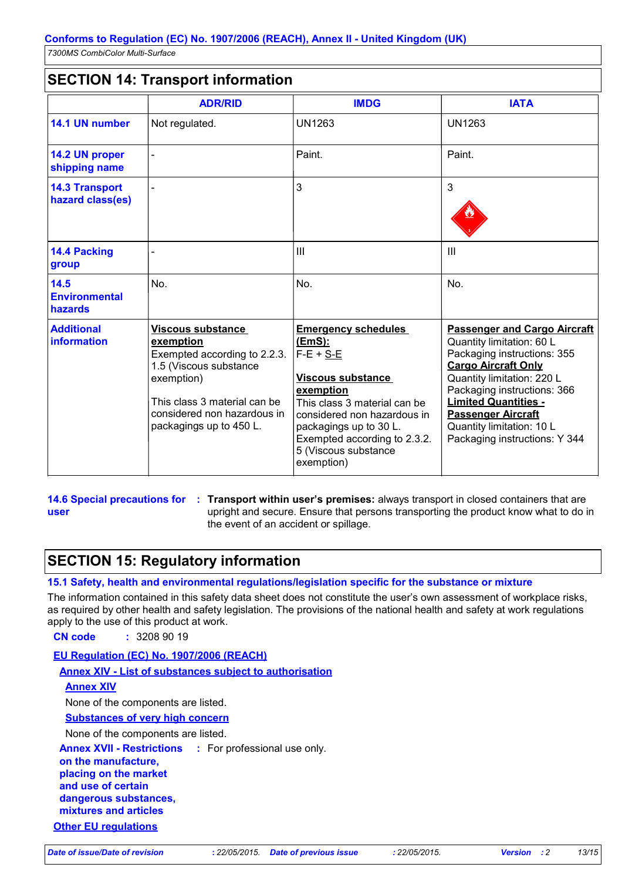## **SECTION 14: Transport information**

|                                           | <b>ADR/RID</b>                                                                                                                                                                                          | <b>IMDG</b>                                                                                                                                                                                                                                                 | <b>IATA</b>                                                                                                                                                                                                                                                                                                          |
|-------------------------------------------|---------------------------------------------------------------------------------------------------------------------------------------------------------------------------------------------------------|-------------------------------------------------------------------------------------------------------------------------------------------------------------------------------------------------------------------------------------------------------------|----------------------------------------------------------------------------------------------------------------------------------------------------------------------------------------------------------------------------------------------------------------------------------------------------------------------|
| 14.1 UN number                            | Not regulated.                                                                                                                                                                                          | <b>UN1263</b>                                                                                                                                                                                                                                               | <b>UN1263</b>                                                                                                                                                                                                                                                                                                        |
| 14.2 UN proper<br>shipping name           |                                                                                                                                                                                                         | Paint.                                                                                                                                                                                                                                                      | Paint.                                                                                                                                                                                                                                                                                                               |
| <b>14.3 Transport</b><br>hazard class(es) |                                                                                                                                                                                                         | 3                                                                                                                                                                                                                                                           | 3                                                                                                                                                                                                                                                                                                                    |
| 14.4 Packing<br>group                     |                                                                                                                                                                                                         | III                                                                                                                                                                                                                                                         | $\mathbf{III}$                                                                                                                                                                                                                                                                                                       |
| 14.5<br><b>Environmental</b><br>hazards   | No.                                                                                                                                                                                                     | No.                                                                                                                                                                                                                                                         | No.                                                                                                                                                                                                                                                                                                                  |
| <b>Additional</b><br>information          | <b>Viscous substance</b><br>exemption<br>Exempted according to 2.2.3.<br>1.5 (Viscous substance<br>exemption)<br>This class 3 material can be<br>considered non hazardous in<br>packagings up to 450 L. | <b>Emergency schedules</b><br>(EmS):<br>$F-E + S-E$<br><b>Viscous substance</b><br>exemption<br>This class 3 material can be<br>considered non hazardous in<br>packagings up to 30 L.<br>Exempted according to 2.3.2.<br>5 (Viscous substance<br>exemption) | <b>Passenger and Cargo Aircraft</b><br>Quantity limitation: 60 L<br>Packaging instructions: 355<br><b>Cargo Aircraft Only</b><br>Quantity limitation: 220 L<br>Packaging instructions: 366<br><b>Limited Quantities -</b><br><b>Passenger Aircraft</b><br>Quantity limitation: 10 L<br>Packaging instructions: Y 344 |

**user**

**14.6 Special precautions for : Transport within user's premises: always transport in closed containers that are** upright and secure. Ensure that persons transporting the product know what to do in the event of an accident or spillage.

## **SECTION 15: Regulatory information**

### **15.1 Safety, health and environmental regulations/legislation specific for the substance or mixture**

The information contained in this safety data sheet does not constitute the user's own assessment of workplace risks, as required by other health and safety legislation. The provisions of the national health and safety at work regulations apply to the use of this product at work.

**CN code :** 3208 90 19

**EU Regulation (EC) No. 1907/2006 (REACH)**

**Annex XIV - List of substances subject to authorisation**

### **Annex XIV**

None of the components are listed.

**Substances of very high concern**

None of the components are listed.

**Annex XVII - Restrictions :** For professional use only.

**on the manufacture,**

**placing on the market** 

**and use of certain dangerous substances,**

**mixtures and articles**

**Other EU regulations**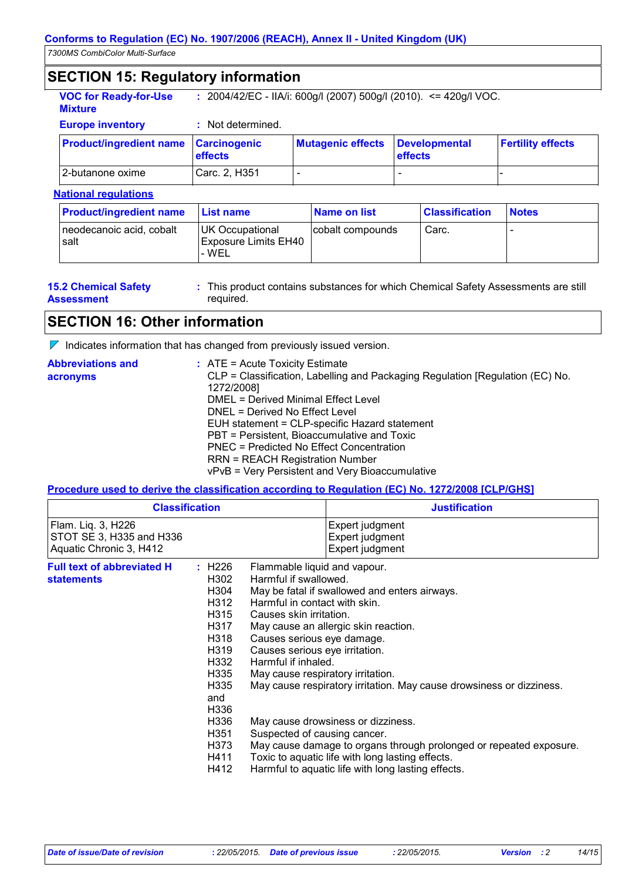## **SECTION 15: Regulatory information**

| <b>VOC for Ready-for-Use</b> | : $2004/42$ /EC - IIA/i: 600g/l (2007) 500g/l (2010). <= 420g/l VOC. |  |
|------------------------------|----------------------------------------------------------------------|--|
| <b>Mixture</b>               |                                                                      |  |

**Europe inventory :** Not determined.

| <b>Product/ingredient name Carcinogenic</b> | <b>effects</b> | <b>Mutagenic effects</b> | <b>Developmental</b><br><b>effects</b> | <b>Fertility effects</b> |
|---------------------------------------------|----------------|--------------------------|----------------------------------------|--------------------------|
| 2-butanone oxime                            | Carc. 2, H351  | $\overline{\phantom{0}}$ |                                        |                          |

### **National regulations**

| <b>Product/ingredient name</b>   | <b>List name</b>                                  | Name on list     | <b>Classification</b> | <b>Notes</b> |
|----------------------------------|---------------------------------------------------|------------------|-----------------------|--------------|
| neodecanoic acid, cobalt<br>salt | UK Occupational<br>Exposure Limits EH40<br>'- WEL | cobalt compounds | Carc.                 |              |

| <b>15.2 Chemical Safety</b> |  |
|-----------------------------|--|
| <b>Assessment</b>           |  |

This product contains substances for which Chemical Safety Assessments are still **:** required.

### **SECTION 16: Other information**

 $\nabla$  Indicates information that has changed from previously issued version.

| <b>Abbreviations and</b> | $:$ ATE = Acute Toxicity Estimate                                             |
|--------------------------|-------------------------------------------------------------------------------|
| acronyms                 | CLP = Classification, Labelling and Packaging Regulation [Regulation (EC) No. |
|                          | 1272/2008]                                                                    |
|                          | DMEL = Derived Minimal Effect Level                                           |
|                          | DNEL = Derived No Effect Level                                                |
|                          | EUH statement = CLP-specific Hazard statement                                 |
|                          | PBT = Persistent, Bioaccumulative and Toxic                                   |
|                          | PNEC = Predicted No Effect Concentration                                      |
|                          | <b>RRN = REACH Registration Number</b>                                        |
|                          | vPvB = Very Persistent and Very Bioaccumulative                               |

### **Procedure used to derive the classification according to Regulation (EC) No. 1272/2008 [CLP/GHS]**

| <b>Classification</b>                                                     |                                                                                                                                                                                                                                                                                                                                                                                                                              |  | <b>Justification</b>                                                                                                                                                                                                                                                                                                                                                                |
|---------------------------------------------------------------------------|------------------------------------------------------------------------------------------------------------------------------------------------------------------------------------------------------------------------------------------------------------------------------------------------------------------------------------------------------------------------------------------------------------------------------|--|-------------------------------------------------------------------------------------------------------------------------------------------------------------------------------------------------------------------------------------------------------------------------------------------------------------------------------------------------------------------------------------|
| Flam. Liq. 3, H226<br>STOT SE 3, H335 and H336<br>Aquatic Chronic 3, H412 |                                                                                                                                                                                                                                                                                                                                                                                                                              |  | Expert judgment<br>Expert judgment<br>Expert judgment                                                                                                                                                                                                                                                                                                                               |
| <b>Full text of abbreviated H</b><br><b>statements</b>                    | H226<br>Flammable liquid and vapour.<br>Harmful if swallowed.<br>H302<br>H304<br>H312<br>Harmful in contact with skin.<br>H315<br>Causes skin irritation.<br>H317<br>Causes serious eye damage.<br>H318<br>Causes serious eye irritation.<br>H319<br>Harmful if inhaled.<br>H332<br>H335<br>May cause respiratory irritation.<br>H335<br>and<br>H336<br>H336<br>H351<br>Suspected of causing cancer.<br>H373<br>H411<br>H412 |  | May be fatal if swallowed and enters airways.<br>May cause an allergic skin reaction.<br>May cause respiratory irritation. May cause drowsiness or dizziness.<br>May cause drowsiness or dizziness.<br>May cause damage to organs through prolonged or repeated exposure.<br>Toxic to aquatic life with long lasting effects.<br>Harmful to aquatic life with long lasting effects. |